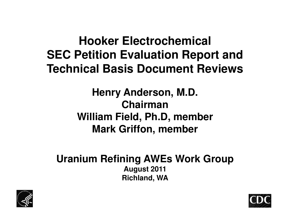#### **Hooker Electrochemical SEC Petition Evaluation Report and Technical Basis Document Reviews**

**William Field, Ph.D, member William Field, Ph.D, member Henry Anderson, M.D. Chairman Mark Griffon, member** 

**Uranium Refining AWEs Work Group August 2011 Richland, WA** 



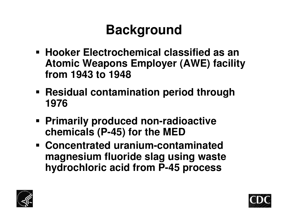# **Background**

- **Hooker Electrochemical classified as an Atomic Weapons Employer (AWE) facility from 1943 to 1948**
- **Residual contamination period through 1976**
- **Primarily produced non-radioactive chemicals (P-45) for the MED**
- **Concentrated uranium-contaminated magnesium fluoride slag using waste hydrochloric acid from P-45 process**



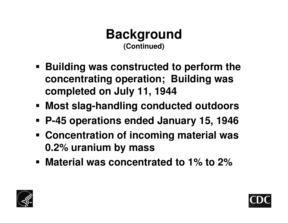

- **Building was constructed to perform the concentrating operation; Building was completed on July 11, 1944**
- **Exagor Most slag-handling conducted outdoors**
- **P-45 operations ended January 15, 1946**
- **Concentration of incoming material was 0.2% uranium by mass**
- **Material was concentrated to 1% to 2%**



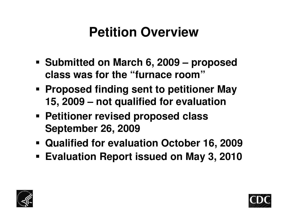## **Petition Overview**

- **Submitted on March 6, 2009 proposed class was for the "furnace room"**
- **Proposed finding sent to petitioner May 15, 2009 – not qualified for evaluation**
- **Petitioner revised proposed class Petitioner revised proposed class September 26, 2009**
- **Qualified for evaluation October 16, 2009**
- **Evaluation Report issued on May 3, 2010**



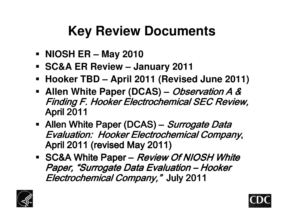# **Key Review Documents**

- **NIOSH ER May 2010**
- **SC&A ER Review January 2011**
- **Hooker TBD April 2011 (Revised June 2011)**
- **Allen White Paper (DCAS)** Observation A & Finding F. Hooker Electrochemical SEC Review, April 2011
- Allen White Paper (DCAS) Surrogate Data Evaluation: Hooker Electrochemical Company, April 2011 (revised May 2011)
- SC&A White Paper Review Of NIOSH White Paper, "Surrogate Data Evaluation – Hooker Electrochemical Company," July 2011



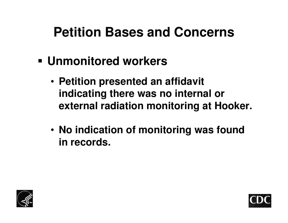### **Petition Bases and Concerns**

- **Unmonitored workers** 
	- **Petition presented an affidavit indicating there was no internal or external radiation monitoring at Hooker.**
	- **No indication of monitoring was found in records.**



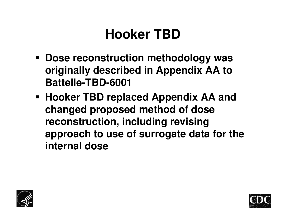## **Hooker TBD**

- **Dose reconstruction methodology was originally described in Appendix AA to Battelle-TBD-6001**
- **Hooker TBD replaced Appendix AA and**  changed proposed method of dose **reconstruction, including revising approach to use of surrogate data for the internal dose**



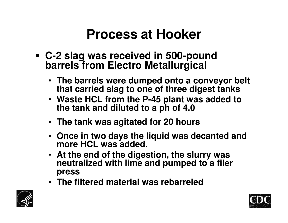#### **Process at Hooker**

- **C-2 slag was received in 500-pound barrels from Electro Metallurgical** 
	- **The barrels were dumped onto a conveyor belt that carried slag to one of three digest tanks**
	- **the tank and diluted to a h of 4.0 the tank and diluted to a ph of p**  • **Waste HCL from the P-45 plant was added to**
	- **The tank was agitated for 20 hours**
	- **Once in two days the liquid was decanted and more HCL was added.**
	- **At the end of the digestion, the slurry was neutralized with lime and pumped to a filer press**
	- **The filtered material was rebarreled**



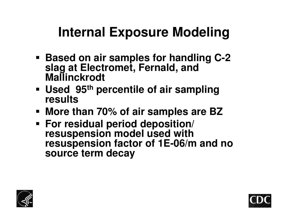## **Internal Exposure Modeling**

- **Based on air samples for handling C-2 slag at Electromet, Fernald, and Mallinckrodt**
- **Used 95th percentile of air sampling results**
- **More than 70% of air samples are BZ**
- **For residual period deposition/ resuspension model used with resuspension factor of 1E-06/m and no source term decay**



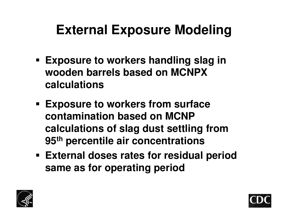# **External Exposure Modeling**

- **Exposure to workers handling slag in wooden barrels based on MCNPX calculations**
- **contamination based on MCNPcontamination based on MCNP**  • **Exposure to workers from surface calculations of slag dust settling from 95th percentile air concentrations**
- **External doses rates for residual period same as for operating period**



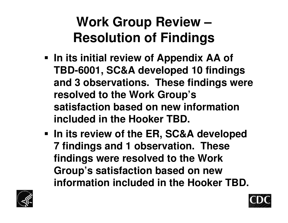# **Work Group Review – Resolution of Findings**

- **satisfaction based on new information satisfaction based on new information**  • **In its initial review of Appendix AA of TBD-6001, SC&A developed 10 findings and 3 observations. These findings were resolved to the Work Group's included in the Hooker TBD.**
- **In its review of the ER, SC&A developed 7 findings and 1 observation. These findings were resolved to the Work Group's satisfaction based on new information included in the Hooker TBD.**



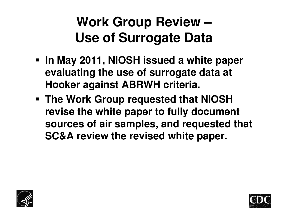## **Work Group Review – Use of Surrogate Data**

- **In May 2011, NIOSH issued a white paper evaluating the use of surrogate data at Hooker against ABRWH criteria.**
- **The Work Group requested that NIOSH revise the white paper to fully document sources of air samples, and requested that SC&A review the revised white paper.**



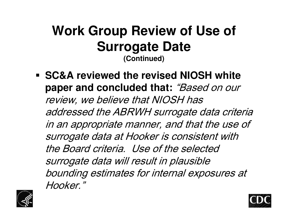#### **Work Group Review of Use of Surrogate Date (Continued)**

• **SC&A reviewed the revised NIOSH white paper and concluded that:** "Based on our review, we believe that NIOSH has addressed the ABRWH surrogate data criteria in an appropriate manner, and that the use of surrogate data at Hooker is consistent with the Board criteria. Use of the selected surrogate data will result in plausible bounding estimates for internal exposures at Hooker."